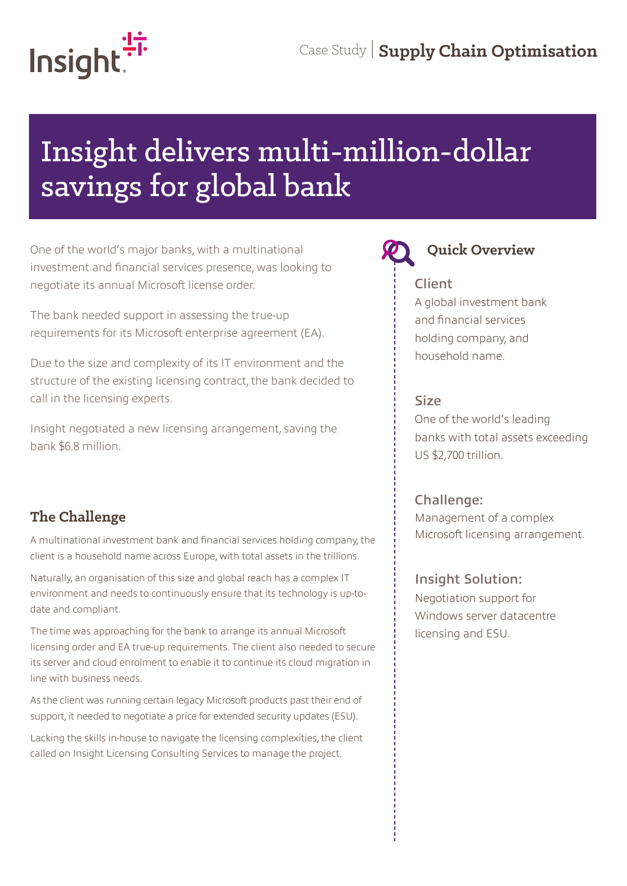

# Insight delivers multi-million-dollar savings for global bank

One of the world's major banks, with a multinational **Quick Overview** investment and financial services presence, was looking to negotiate its annual Microsoft license order.

The bank needed support in assessing the true-up requirements for its Microsoft enterprise agreement (EA).

Due to the size and complexity of its IT environment and the structure of the existing licensing contract, the bank decided to call in the licensing experts.

Insight negotiated a new licensing arrangement, saving the bank \$6.8 million.

# **The Challenge**

A multinational investment bank and financial services holding company, the client is a household name across Europe, with total assets in the trillions.

Naturally, an organisation of this size and global reach has a complex IT environment and needs to continuously ensure that its technology is up-todate and compliant.

The time was approaching for the bank to arrange its annual Microsoft licensing order and EA true-up requirements. The client also needed to secure its server and cloud enrolment to enable it to continue its cloud migration in line with business needs.

As the client was running certain legacy Microsoft products past their end of support, it needed to negotiate a price for extended security updates (ESU).

Lacking the skills in-house to navigate the licensing complexities, the client called on Insight Licensing Consulting Services to manage the project.



### Client

A global investment bank and financial services holding company, and household name.

### Size

One of the world's leading banks with total assets exceeding US \$2,700 trillion.

### Challenge:

Management of a complex Microsoft licensing arrangement.

### Insight Solution:

Negotiation support for Windows server datacentre licensing and ESU.